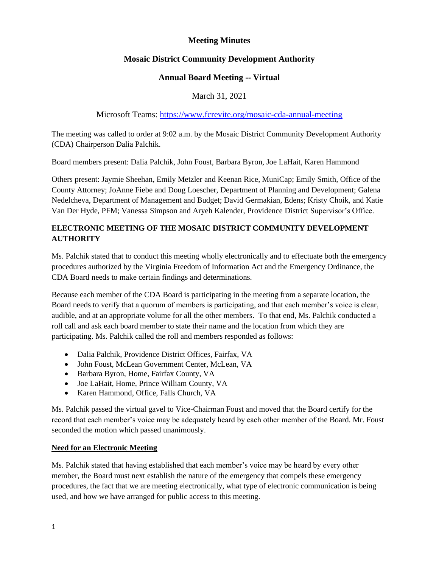# **Meeting Minutes**

# **Mosaic District Community Development Authority**

## **Annual Board Meeting -- Virtual**

March 31, 2021

## Microsoft Teams:<https://www.fcrevite.org/mosaic-cda-annual-meeting>

The meeting was called to order at 9:02 a.m. by the Mosaic District Community Development Authority (CDA) Chairperson Dalia Palchik.

Board members present: Dalia Palchik, John Foust, Barbara Byron, Joe LaHait, Karen Hammond

Others present: Jaymie Sheehan, Emily Metzler and Keenan Rice, MuniCap; Emily Smith, Office of the County Attorney; JoAnne Fiebe and Doug Loescher, Department of Planning and Development; Galena Nedelcheva, Department of Management and Budget; David Germakian, Edens; Kristy Choik, and Katie Van Der Hyde, PFM; Vanessa Simpson and Aryeh Kalender, Providence District Supervisor's Office.

# **ELECTRONIC MEETING OF THE MOSAIC DISTRICT COMMUNITY DEVELOPMENT AUTHORITY**

Ms. Palchik stated that to conduct this meeting wholly electronically and to effectuate both the emergency procedures authorized by the Virginia Freedom of Information Act and the Emergency Ordinance, the CDA Board needs to make certain findings and determinations.

Because each member of the CDA Board is participating in the meeting from a separate location, the Board needs to verify that a quorum of members is participating, and that each member's voice is clear, audible, and at an appropriate volume for all the other members. To that end, Ms. Palchik conducted a roll call and ask each board member to state their name and the location from which they are participating. Ms. Palchik called the roll and members responded as follows:

- Dalia Palchik, Providence District Offices, Fairfax, VA
- John Foust, McLean Government Center, McLean, VA
- Barbara Byron, Home, Fairfax County, VA
- Joe LaHait, Home, Prince William County, VA
- Karen Hammond, Office, Falls Church, VA

Ms. Palchik passed the virtual gavel to Vice-Chairman Foust and moved that the Board certify for the record that each member's voice may be adequately heard by each other member of the Board. Mr. Foust seconded the motion which passed unanimously.

## **Need for an Electronic Meeting**

Ms. Palchik stated that having established that each member's voice may be heard by every other member, the Board must next establish the nature of the emergency that compels these emergency procedures, the fact that we are meeting electronically, what type of electronic communication is being used, and how we have arranged for public access to this meeting.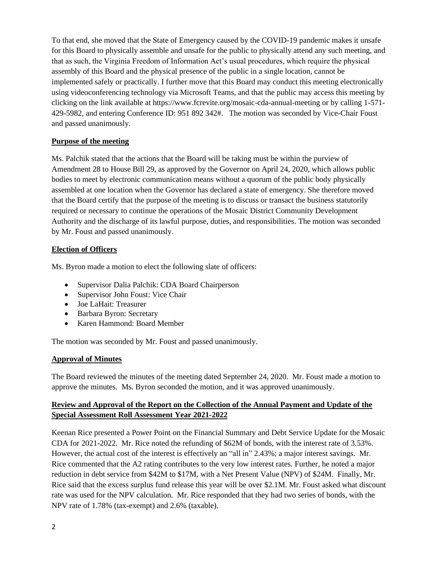To that end, she moved that the State of Emergency caused by the COVID-19 pandemic makes it unsafe for this Board to physically assemble and unsafe for the public to physically attend any such meeting, and that as such, the Virginia Freedom of Information Act's usual procedures, which require the physical assembly of this Board and the physical presence of the public in a single location, cannot be implemented safely or practically. I further move that this Board may conduct this meeting electronically using videoconferencing technology via Microsoft Teams, and that the public may access this meeting by clicking on the link available at https://www.fcrevite.org/mosaic-cda-annual-meeting or by calling 1-571- 429-5982, and entering Conference ID: 951 892 342#. The motion was seconded by Vice-Chair Foust and passed unanimously.

## **Purpose of the meeting**

Ms. Palchik stated that the actions that the Board will be taking must be within the purview of Amendment 28 to House Bill 29, as approved by the Governor on April 24, 2020, which allows public bodies to meet by electronic communication means without a quorum of the public body physically assembled at one location when the Governor has declared a state of emergency. She therefore moved that the Board certify that the purpose of the meeting is to discuss or transact the business statutorily required or necessary to continue the operations of the Mosaic District Community Development Authority and the discharge of its lawful purpose, duties, and responsibilities. The motion was seconded by Mr. Foust and passed unanimously.

#### **Election of Officers**

Ms. Byron made a motion to elect the following slate of officers:

- Supervisor Dalia Palchik: CDA Board Chairperson
- Supervisor John Foust: Vice Chair
- Joe LaHait: Treasurer
- Barbara Byron: Secretary
- Karen Hammond: Board Member

The motion was seconded by Mr. Foust and passed unanimously.

#### **Approval of Minutes**

The Board reviewed the minutes of the meeting dated September 24, 2020. Mr. Foust made a motion to approve the minutes. Ms. Byron seconded the motion, and it was approved unanimously.

## **Review and Approval of the Report on the Collection of the Annual Payment and Update of the Special Assessment Roll Assessment Year 2021-2022**

Keenan Rice presented a Power Point on the Financial Summary and Debt Service Update for the Mosaic CDA for 2021-2022. Mr. Rice noted the refunding of \$62M of bonds, with the interest rate of 3.53%. However, the actual cost of the interest is effectively an "all in" 2.43%; a major interest savings. Mr. Rice commented that the A2 rating contributes to the very low interest rates. Further, he noted a major reduction in debt service from \$42M to \$17M, with a Net Present Value (NPV) of \$24M. Finally, Mr. Rice said that the excess surplus fund release this year will be over \$2.1M. Mr. Foust asked what discount rate was used for the NPV calculation. Mr. Rice responded that they had two series of bonds, with the NPV rate of 1.78% (tax-exempt) and 2.6% (taxable).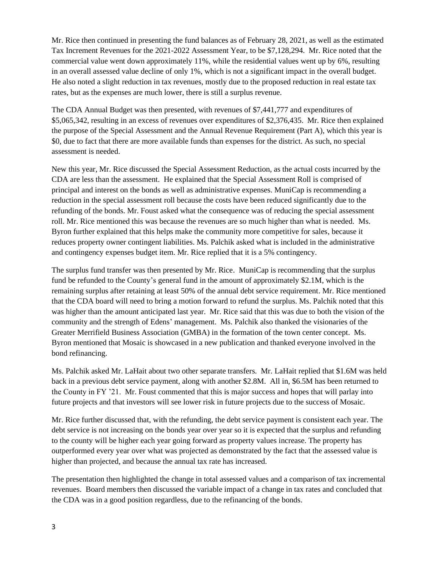Mr. Rice then continued in presenting the fund balances as of February 28, 2021, as well as the estimated Tax Increment Revenues for the 2021-2022 Assessment Year, to be \$7,128,294. Mr. Rice noted that the commercial value went down approximately 11%, while the residential values went up by 6%, resulting in an overall assessed value decline of only 1%, which is not a significant impact in the overall budget. He also noted a slight reduction in tax revenues, mostly due to the proposed reduction in real estate tax rates, but as the expenses are much lower, there is still a surplus revenue.

The CDA Annual Budget was then presented, with revenues of \$7,441,777 and expenditures of \$5,065,342, resulting in an excess of revenues over expenditures of \$2,376,435. Mr. Rice then explained the purpose of the Special Assessment and the Annual Revenue Requirement (Part A), which this year is \$0, due to fact that there are more available funds than expenses for the district. As such, no special assessment is needed.

New this year, Mr. Rice discussed the Special Assessment Reduction, as the actual costs incurred by the CDA are less than the assessment. He explained that the Special Assessment Roll is comprised of principal and interest on the bonds as well as administrative expenses. MuniCap is recommending a reduction in the special assessment roll because the costs have been reduced significantly due to the refunding of the bonds. Mr. Foust asked what the consequence was of reducing the special assessment roll. Mr. Rice mentioned this was because the revenues are so much higher than what is needed. Ms. Byron further explained that this helps make the community more competitive for sales, because it reduces property owner contingent liabilities. Ms. Palchik asked what is included in the administrative and contingency expenses budget item. Mr. Rice replied that it is a 5% contingency.

The surplus fund transfer was then presented by Mr. Rice. MuniCap is recommending that the surplus fund be refunded to the County's general fund in the amount of approximately \$2.1M, which is the remaining surplus after retaining at least 50% of the annual debt service requirement. Mr. Rice mentioned that the CDA board will need to bring a motion forward to refund the surplus. Ms. Palchik noted that this was higher than the amount anticipated last year. Mr. Rice said that this was due to both the vision of the community and the strength of Edens' management. Ms. Palchik also thanked the visionaries of the Greater Merrifield Business Association (GMBA) in the formation of the town center concept. Ms. Byron mentioned that Mosaic is showcased in a new publication and thanked everyone involved in the bond refinancing.

Ms. Palchik asked Mr. LaHait about two other separate transfers. Mr. LaHait replied that \$1.6M was held back in a previous debt service payment, along with another \$2.8M. All in, \$6.5M has been returned to the County in FY '21. Mr. Foust commented that this is major success and hopes that will parlay into future projects and that investors will see lower risk in future projects due to the success of Mosaic.

Mr. Rice further discussed that, with the refunding, the debt service payment is consistent each year. The debt service is not increasing on the bonds year over year so it is expected that the surplus and refunding to the county will be higher each year going forward as property values increase. The property has outperformed every year over what was projected as demonstrated by the fact that the assessed value is higher than projected, and because the annual tax rate has increased.

The presentation then highlighted the change in total assessed values and a comparison of tax incremental revenues. Board members then discussed the variable impact of a change in tax rates and concluded that the CDA was in a good position regardless, due to the refinancing of the bonds.